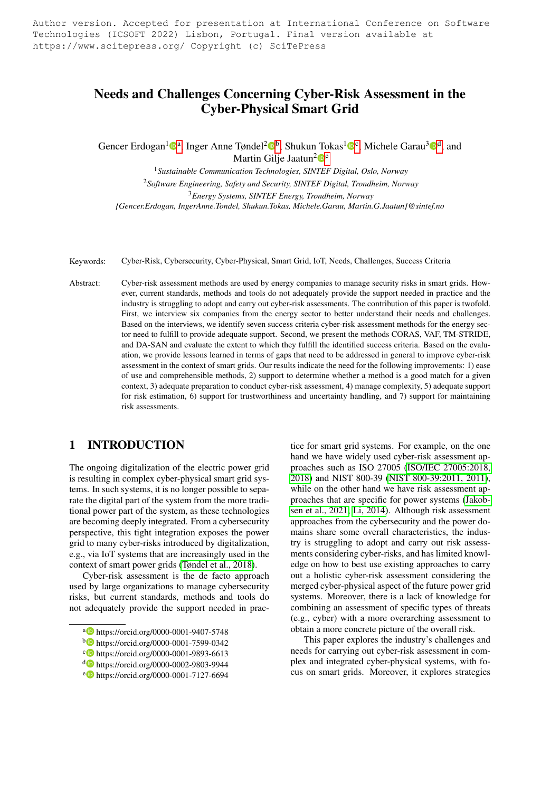# Needs and Challenges Concerning Cyber-Risk Assessment in the Cyber-Physical Smart Grid

Gencer Erdogan<sup>1</sup><sup>®</sup>, Inger Anne Tøndel<sup>2</sup>®<sup>b</sup>, Shukun Tokas<sup>1</sup>®<sup>c</sup>, Michele Garau<sup>3</sup>®<sup>d</sup>, and Martin Gilje Jaatun<sup>2</sup> $\mathbf{P}^e$ 

*Sustainable Communication Technologies, SINTEF Digital, Oslo, Norway Software Engineering, Safety and Security, SINTEF Digital, Trondheim, Norway Energy Systems, SINTEF Energy, Trondheim, Norway {Gencer.Erdogan, IngerAnne.Tondel, Shukun.Tokas, Michele.Garau, Martin.G.Jaatun}@sintef.no*

Keywords: Cyber-Risk, Cybersecurity, Cyber-Physical, Smart Grid, IoT, Needs, Challenges, Success Criteria

Abstract: Cyber-risk assessment methods are used by energy companies to manage security risks in smart grids. However, current standards, methods and tools do not adequately provide the support needed in practice and the industry is struggling to adopt and carry out cyber-risk assessments. The contribution of this paper is twofold. First, we interview six companies from the energy sector to better understand their needs and challenges. Based on the interviews, we identify seven success criteria cyber-risk assessment methods for the energy sector need to fulfill to provide adequate support. Second, we present the methods CORAS, VAF, TM-STRIDE, and DA-SAN and evaluate the extent to which they fulfill the identified success criteria. Based on the evaluation, we provide lessons learned in terms of gaps that need to be addressed in general to improve cyber-risk assessment in the context of smart grids. Our results indicate the need for the following improvements: 1) ease of use and comprehensible methods, 2) support to determine whether a method is a good match for a given context, 3) adequate preparation to conduct cyber-risk assessment, 4) manage complexity, 5) adequate support for risk estimation, 6) support for trustworthiness and uncertainty handling, and 7) support for maintaining risk assessments.

## <span id="page-0-0"></span>1 INTRODUCTION

The ongoing digitalization of the electric power grid is resulting in complex cyber-physical smart grid systems. In such systems, it is no longer possible to separate the digital part of the system from the more traditional power part of the system, as these technologies are becoming deeply integrated. From a cybersecurity perspective, this tight integration exposes the power grid to many cyber-risks introduced by digitalization, e.g., via IoT systems that are increasingly used in the context of smart power grids [\(Tøndel et al., 2018\)](#page-11-0).

Cyber-risk assessment is the de facto approach used by large organizations to manage cybersecurity risks, but current standards, methods and tools do not adequately provide the support needed in prac-

tice for smart grid systems. For example, on the one hand we have widely used cyber-risk assessment approaches such as ISO 27005 [\(ISO/IEC 27005:2018,](#page-11-1) [2018\)](#page-11-1) and NIST 800-39 [\(NIST 800-39:2011, 2011\)](#page-11-2), while on the other hand we have risk assessment approaches that are specific for power systems [\(Jakob](#page-11-3)[sen et al., 2021;](#page-11-3) [Li, 2014\)](#page-11-4). Although risk assessment approaches from the cybersecurity and the power domains share some overall characteristics, the industry is struggling to adopt and carry out risk assessments considering cyber-risks, and has limited knowledge on how to best use existing approaches to carry out a holistic cyber-risk assessment considering the merged cyber-physical aspect of the future power grid systems. Moreover, there is a lack of knowledge for combining an assessment of specific types of threats (e.g., cyber) with a more overarching assessment to obtain a more concrete picture of the overall risk.

This paper explores the industry's challenges and needs for carrying out cyber-risk assessment in complex and integrated cyber-physical systems, with focus on smart grids. Moreover, it explores strategies

<sup>a</sup> https://orcid.org/0000-0001-9407-5748

<sup>b</sup> https://orcid.org/0000-0001-7599-0342

c https://orcid.org/0000-0001-9893-6613

<sup>d</sup> https://orcid.org/0000-0002-9803-9944

<sup>e</sup> https://orcid.org/0000-0001-7127-6694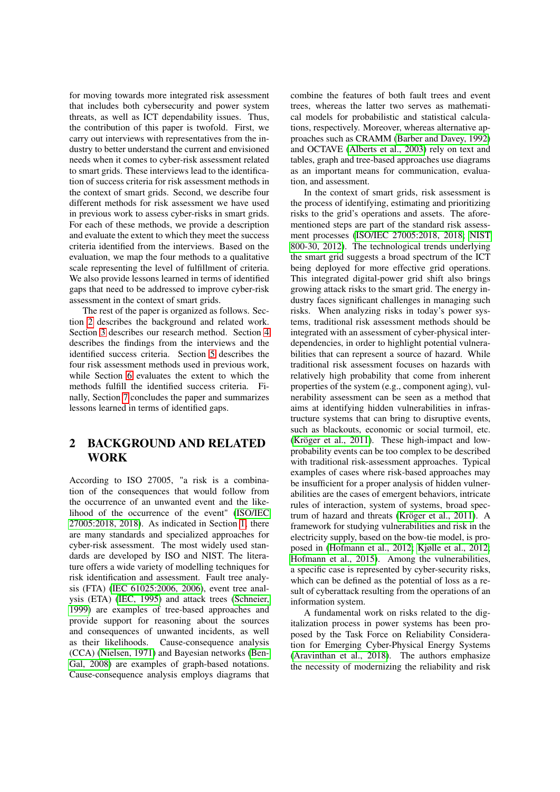for moving towards more integrated risk assessment that includes both cybersecurity and power system threats, as well as ICT dependability issues. Thus, the contribution of this paper is twofold. First, we carry out interviews with representatives from the industry to better understand the current and envisioned needs when it comes to cyber-risk assessment related to smart grids. These interviews lead to the identification of success criteria for risk assessment methods in the context of smart grids. Second, we describe four different methods for risk assessment we have used in previous work to assess cyber-risks in smart grids. For each of these methods, we provide a description and evaluate the extent to which they meet the success criteria identified from the interviews. Based on the evaluation, we map the four methods to a qualitative scale representing the level of fulfillment of criteria. We also provide lessons learned in terms of identified gaps that need to be addressed to improve cyber-risk assessment in the context of smart grids.

The rest of the paper is organized as follows. Section [2](#page-1-0) describes the background and related work. Section [3](#page-2-0) describes our research method. Section [4](#page-3-0) describes the findings from the interviews and the identified success criteria. Section [5](#page-5-0) describes the four risk assessment methods used in previous work, while Section [6](#page-7-0) evaluates the extent to which the methods fulfill the identified success criteria. Finally, Section [7](#page-9-0) concludes the paper and summarizes lessons learned in terms of identified gaps.

## <span id="page-1-0"></span>2 BACKGROUND AND RELATED WORK

According to ISO 27005, "a risk is a combination of the consequences that would follow from the occurrence of an unwanted event and the likelihood of the occurrence of the event" [\(ISO/IEC](#page-11-1) [27005:2018, 2018\)](#page-11-1). As indicated in Section [1,](#page-0-0) there are many standards and specialized approaches for cyber-risk assessment. The most widely used standards are developed by ISO and NIST. The literature offers a wide variety of modelling techniques for risk identification and assessment. Fault tree analysis (FTA) [\(IEC 61025:2006, 2006\)](#page-11-5), event tree analysis (ETA) [\(IEC, 1995\)](#page-11-6) and attack trees [\(Schneier,](#page-11-7) [1999\)](#page-11-7) are examples of tree-based approaches and provide support for reasoning about the sources and consequences of unwanted incidents, as well as their likelihoods. Cause-consequence analysis (CCA) [\(Nielsen, 1971\)](#page-11-8) and Bayesian networks [\(Ben-](#page-10-0)[Gal, 2008\)](#page-10-0) are examples of graph-based notations. Cause-consequence analysis employs diagrams that combine the features of both fault trees and event trees, whereas the latter two serves as mathematical models for probabilistic and statistical calculations, respectively. Moreover, whereas alternative approaches such as CRAMM [\(Barber and Davey, 1992\)](#page-10-1) and OCTAVE [\(Alberts et al., 2003\)](#page-10-2) rely on text and tables, graph and tree-based approaches use diagrams as an important means for communication, evaluation, and assessment.

In the context of smart grids, risk assessment is the process of identifying, estimating and prioritizing risks to the grid's operations and assets. The aforementioned steps are part of the standard risk assessment processes [\(ISO/IEC 27005:2018, 2018;](#page-11-1) [NIST](#page-11-9) [800-30, 2012\)](#page-11-9). The technological trends underlying the smart grid suggests a broad spectrum of the ICT being deployed for more effective grid operations. This integrated digital-power grid shift also brings growing attack risks to the smart grid. The energy industry faces significant challenges in managing such risks. When analyzing risks in today's power systems, traditional risk assessment methods should be integrated with an assessment of cyber-physical interdependencies, in order to highlight potential vulnerabilities that can represent a source of hazard. While traditional risk assessment focuses on hazards with relatively high probability that come from inherent properties of the system (e.g., component aging), vulnerability assessment can be seen as a method that aims at identifying hidden vulnerabilities in infrastructure systems that can bring to disruptive events, such as blackouts, economic or social turmoil, etc. [\(Kröger et al., 2011\)](#page-11-10). These high-impact and lowprobability events can be too complex to be described with traditional risk-assessment approaches. Typical examples of cases where risk-based approaches may be insufficient for a proper analysis of hidden vulnerabilities are the cases of emergent behaviors, intricate rules of interaction, system of systems, broad spectrum of hazard and threats [\(Kröger et al., 2011\)](#page-11-10). A framework for studying vulnerabilities and risk in the electricity supply, based on the bow-tie model, is proposed in [\(Hofmann et al., 2012;](#page-10-3) [Kjølle et al., 2012;](#page-11-11) [Hofmann et al., 2015\)](#page-11-12). Among the vulnerabilities, a specific case is represented by cyber-security risks, which can be defined as the potential of loss as a result of cyberattack resulting from the operations of an information system.

A fundamental work on risks related to the digitalization process in power systems has been proposed by the Task Force on Reliability Consideration for Emerging Cyber-Physical Energy Systems [\(Aravinthan et al., 2018\)](#page-10-4). The authors emphasize the necessity of modernizing the reliability and risk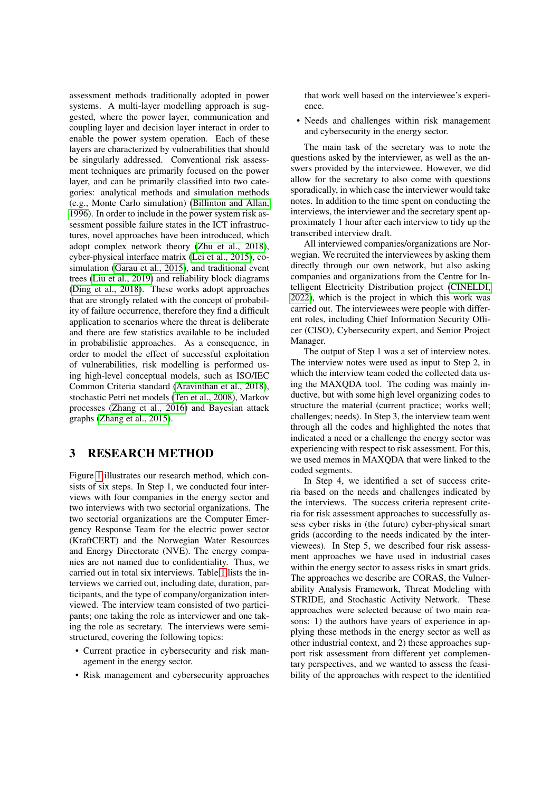assessment methods traditionally adopted in power systems. A multi-layer modelling approach is suggested, where the power layer, communication and coupling layer and decision layer interact in order to enable the power system operation. Each of these layers are characterized by vulnerabilities that should be singularly addressed. Conventional risk assessment techniques are primarily focused on the power layer, and can be primarily classified into two categories: analytical methods and simulation methods (e.g., Monte Carlo simulation) [\(Billinton and Allan,](#page-10-5) [1996\)](#page-10-5). In order to include in the power system risk assessment possible failure states in the ICT infrastructures, novel approaches have been introduced, which adopt complex network theory [\(Zhu et al., 2018\)](#page-11-13), cyber-physical interface matrix [\(Lei et al., 2015\)](#page-11-14), cosimulation [\(Garau et al., 2015\)](#page-10-6), and traditional event trees [\(Liu et al., 2019\)](#page-11-15) and reliability block diagrams [\(Ding et al., 2018\)](#page-10-7). These works adopt approaches that are strongly related with the concept of probability of failure occurrence, therefore they find a difficult application to scenarios where the threat is deliberate and there are few statistics available to be included in probabilistic approaches. As a consequence, in order to model the effect of successful exploitation of vulnerabilities, risk modelling is performed using high-level conceptual models, such as ISO/IEC Common Criteria standard [\(Aravinthan et al., 2018\)](#page-10-4), stochastic Petri net models [\(Ten et al., 2008\)](#page-11-16), Markov processes [\(Zhang et al., 2016\)](#page-11-17) and Bayesian attack graphs [\(Zhang et al., 2015\)](#page-11-18).

#### <span id="page-2-0"></span>3 RESEARCH METHOD

Figure [1](#page-3-1) illustrates our research method, which consists of six steps. In Step 1, we conducted four interviews with four companies in the energy sector and two interviews with two sectorial organizations. The two sectorial organizations are the Computer Emergency Response Team for the electric power sector (KraftCERT) and the Norwegian Water Resources and Energy Directorate (NVE). The energy companies are not named due to confidentiality. Thus, we carried out in total six interviews. Table [1](#page-4-0) lists the interviews we carried out, including date, duration, participants, and the type of company/organization interviewed. The interview team consisted of two participants; one taking the role as interviewer and one taking the role as secretary. The interviews were semistructured, covering the following topics:

- Current practice in cybersecurity and risk management in the energy sector.
- Risk management and cybersecurity approaches

that work well based on the interviewee's experience.

• Needs and challenges within risk management and cybersecurity in the energy sector.

The main task of the secretary was to note the questions asked by the interviewer, as well as the answers provided by the interviewee. However, we did allow for the secretary to also come with questions sporadically, in which case the interviewer would take notes. In addition to the time spent on conducting the interviews, the interviewer and the secretary spent approximately 1 hour after each interview to tidy up the transcribed interview draft.

All interviewed companies/organizations are Norwegian. We recruited the interviewees by asking them directly through our own network, but also asking companies and organizations from the Centre for Intelligent Electricity Distribution project [\(CINELDI,](#page-10-8) [2022\)](#page-10-8), which is the project in which this work was carried out. The interviewees were people with different roles, including Chief Information Security Officer (CISO), Cybersecurity expert, and Senior Project Manager.

The output of Step 1 was a set of interview notes. The interview notes were used as input to Step 2, in which the interview team coded the collected data using the MAXQDA tool. The coding was mainly inductive, but with some high level organizing codes to structure the material (current practice; works well; challenges; needs). In Step 3, the interview team went through all the codes and highlighted the notes that indicated a need or a challenge the energy sector was experiencing with respect to risk assessment. For this, we used memos in MAXQDA that were linked to the coded segments.

In Step 4, we identified a set of success criteria based on the needs and challenges indicated by the interviews. The success criteria represent criteria for risk assessment approaches to successfully assess cyber risks in (the future) cyber-physical smart grids (according to the needs indicated by the interviewees). In Step 5, we described four risk assessment approaches we have used in industrial cases within the energy sector to assess risks in smart grids. The approaches we describe are CORAS, the Vulnerability Analysis Framework, Threat Modeling with STRIDE, and Stochastic Activity Network. These approaches were selected because of two main reasons: 1) the authors have years of experience in applying these methods in the energy sector as well as other industrial context, and 2) these approaches support risk assessment from different yet complementary perspectives, and we wanted to assess the feasibility of the approaches with respect to the identified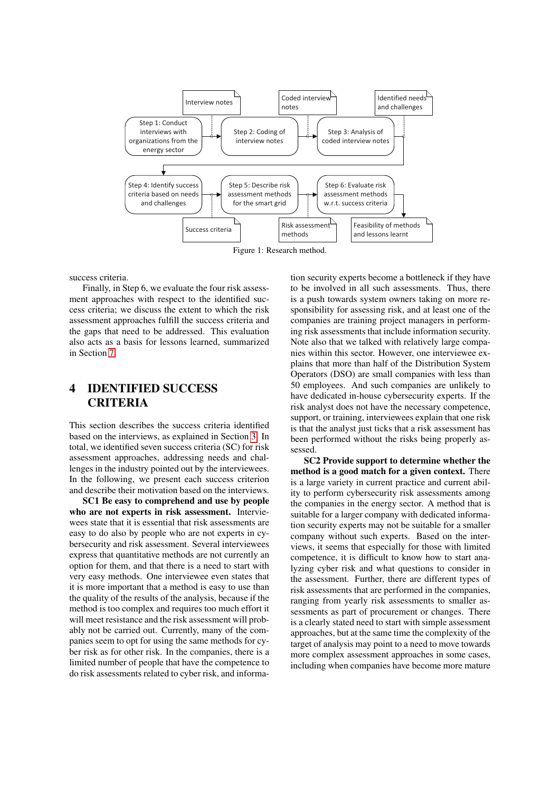<span id="page-3-1"></span>

Figure 1: Research method.

success criteria.

Finally, in Step 6, we evaluate the four risk assessment approaches with respect to the identified success criteria; we discuss the extent to which the risk assessment approaches fulfill the success criteria and the gaps that need to be addressed. This evaluation also acts as a basis for lessons learned, summarized in Section [7.](#page-9-0)

## <span id="page-3-0"></span>4 IDENTIFIED SUCCESS **CRITERIA**

This section describes the success criteria identified based on the interviews, as explained in Section [3.](#page-2-0) In total, we identified seven success criteria (SC) for risk assessment approaches, addressing needs and challenges in the industry pointed out by the interviewees. In the following, we present each success criterion and describe their motivation based on the interviews.

SC1 Be easy to comprehend and use by people who are not experts in risk assessment. Interviewees state that it is essential that risk assessments are easy to do also by people who are not experts in cybersecurity and risk assessment. Several interviewees express that quantitative methods are not currently an option for them, and that there is a need to start with very easy methods. One interviewee even states that it is more important that a method is easy to use than the quality of the results of the analysis, because if the method is too complex and requires too much effort it will meet resistance and the risk assessment will probably not be carried out. Currently, many of the companies seem to opt for using the same methods for cyber risk as for other risk. In the companies, there is a limited number of people that have the competence to do risk assessments related to cyber risk, and information security experts become a bottleneck if they have to be involved in all such assessments. Thus, there is a push towards system owners taking on more responsibility for assessing risk, and at least one of the companies are training project managers in performing risk assessments that include information security. Note also that we talked with relatively large companies within this sector. However, one interviewee explains that more than half of the Distribution System Operators (DSO) are small companies with less than 50 employees. And such companies are unlikely to have dedicated in-house cybersecurity experts. If the risk analyst does not have the necessary competence, support, or training, interviewees explain that one risk is that the analyst just ticks that a risk assessment has been performed without the risks being properly assessed.

SC2 Provide support to determine whether the method is a good match for a given context. There is a large variety in current practice and current ability to perform cybersecurity risk assessments among the companies in the energy sector. A method that is suitable for a larger company with dedicated information security experts may not be suitable for a smaller company without such experts. Based on the interviews, it seems that especially for those with limited competence, it is difficult to know how to start analyzing cyber risk and what questions to consider in the assessment. Further, there are different types of risk assessments that are performed in the companies, ranging from yearly risk assessments to smaller assessments as part of procurement or changes. There is a clearly stated need to start with simple assessment approaches, but at the same time the complexity of the target of analysis may point to a need to move towards more complex assessment approaches in some cases, including when companies have become more mature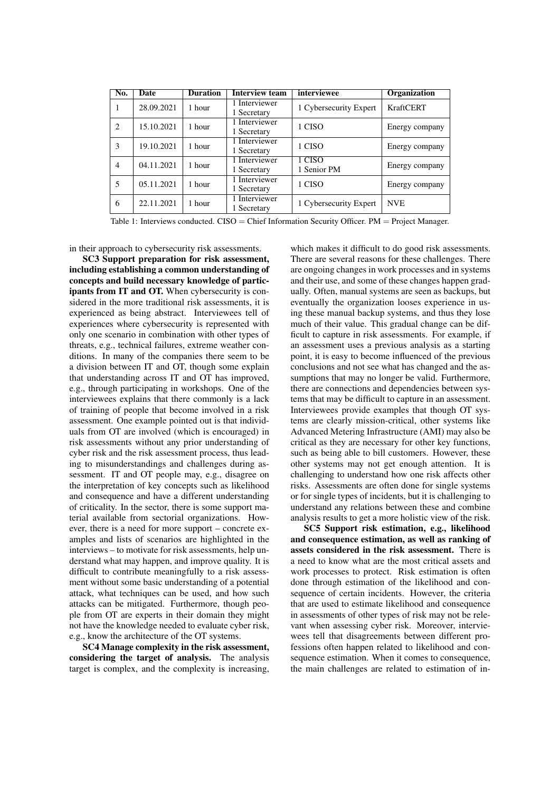<span id="page-4-0"></span>

| No.                           | Date       | <b>Duration</b> | <b>Interview team</b>        | interviewee            | Organization     |
|-------------------------------|------------|-----------------|------------------------------|------------------------|------------------|
|                               | 28.09.2021 | 1 hour          | 1 Interviewer<br>1 Secretary | 1 Cybersecurity Expert | <b>KraftCERT</b> |
| $\mathfrak{D}_{\mathfrak{p}}$ | 15.10.2021 | 1 hour          | 1 Interviewer<br>1 Secretary | 1 CISO                 | Energy company   |
| 3                             | 19.10.2021 | 1 hour          | 1 Interviewer<br>1 Secretary | 1 CISO                 | Energy company   |
| 4                             | 04.11.2021 | 1 hour          | 1 Interviewer<br>1 Secretary | 1 CISO<br>1 Senior PM  | Energy company   |
| 5                             | 05.11.2021 | 1 hour          | 1 Interviewer<br>1 Secretary | 1 CISO                 | Energy company   |
| 6                             | 22.11.2021 | 1 hour          | 1 Interviewer<br>1 Secretary | 1 Cybersecurity Expert | <b>NVE</b>       |

Table 1: Interviews conducted. CISO = Chief Information Security Officer. PM = Project Manager.

in their approach to cybersecurity risk assessments.

SC3 Support preparation for risk assessment, including establishing a common understanding of concepts and build necessary knowledge of participants from IT and OT. When cybersecurity is considered in the more traditional risk assessments, it is experienced as being abstract. Interviewees tell of experiences where cybersecurity is represented with only one scenario in combination with other types of threats, e.g., technical failures, extreme weather conditions. In many of the companies there seem to be a division between IT and OT, though some explain that understanding across IT and OT has improved, e.g., through participating in workshops. One of the interviewees explains that there commonly is a lack of training of people that become involved in a risk assessment. One example pointed out is that individuals from OT are involved (which is encouraged) in risk assessments without any prior understanding of cyber risk and the risk assessment process, thus leading to misunderstandings and challenges during assessment. IT and OT people may, e.g., disagree on the interpretation of key concepts such as likelihood and consequence and have a different understanding of criticality. In the sector, there is some support material available from sectorial organizations. However, there is a need for more support – concrete examples and lists of scenarios are highlighted in the interviews – to motivate for risk assessments, help understand what may happen, and improve quality. It is difficult to contribute meaningfully to a risk assessment without some basic understanding of a potential attack, what techniques can be used, and how such attacks can be mitigated. Furthermore, though people from OT are experts in their domain they might not have the knowledge needed to evaluate cyber risk, e.g., know the architecture of the OT systems.

SC4 Manage complexity in the risk assessment, considering the target of analysis. The analysis target is complex, and the complexity is increasing,

which makes it difficult to do good risk assessments. There are several reasons for these challenges. There are ongoing changes in work processes and in systems and their use, and some of these changes happen gradually. Often, manual systems are seen as backups, but eventually the organization looses experience in using these manual backup systems, and thus they lose much of their value. This gradual change can be difficult to capture in risk assessments. For example, if an assessment uses a previous analysis as a starting point, it is easy to become influenced of the previous conclusions and not see what has changed and the assumptions that may no longer be valid. Furthermore, there are connections and dependencies between systems that may be difficult to capture in an assessment. Interviewees provide examples that though OT systems are clearly mission-critical, other systems like Advanced Metering Infrastructure (AMI) may also be critical as they are necessary for other key functions, such as being able to bill customers. However, these other systems may not get enough attention. It is challenging to understand how one risk affects other risks. Assessments are often done for single systems or for single types of incidents, but it is challenging to understand any relations between these and combine analysis results to get a more holistic view of the risk.

SC5 Support risk estimation, e.g., likelihood and consequence estimation, as well as ranking of assets considered in the risk assessment. There is a need to know what are the most critical assets and work processes to protect. Risk estimation is often done through estimation of the likelihood and consequence of certain incidents. However, the criteria that are used to estimate likelihood and consequence in assessments of other types of risk may not be relevant when assessing cyber risk. Moreover, interviewees tell that disagreements between different professions often happen related to likelihood and consequence estimation. When it comes to consequence, the main challenges are related to estimation of in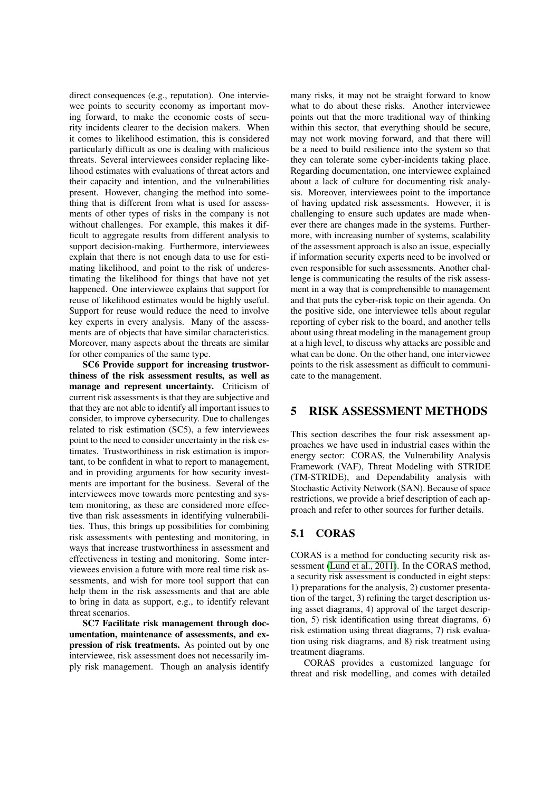direct consequences (e.g., reputation). One interviewee points to security economy as important moving forward, to make the economic costs of security incidents clearer to the decision makers. When it comes to likelihood estimation, this is considered particularly difficult as one is dealing with malicious threats. Several interviewees consider replacing likelihood estimates with evaluations of threat actors and their capacity and intention, and the vulnerabilities present. However, changing the method into something that is different from what is used for assessments of other types of risks in the company is not without challenges. For example, this makes it difficult to aggregate results from different analysis to support decision-making. Furthermore, interviewees explain that there is not enough data to use for estimating likelihood, and point to the risk of underestimating the likelihood for things that have not yet happened. One interviewee explains that support for reuse of likelihood estimates would be highly useful. Support for reuse would reduce the need to involve key experts in every analysis. Many of the assessments are of objects that have similar characteristics. Moreover, many aspects about the threats are similar for other companies of the same type.

SC6 Provide support for increasing trustworthiness of the risk assessment results, as well as manage and represent uncertainty. Criticism of current risk assessments is that they are subjective and that they are not able to identify all important issues to consider, to improve cybersecurity. Due to challenges related to risk estimation (SC5), a few interviewees point to the need to consider uncertainty in the risk estimates. Trustworthiness in risk estimation is important, to be confident in what to report to management, and in providing arguments for how security investments are important for the business. Several of the interviewees move towards more pentesting and system monitoring, as these are considered more effective than risk assessments in identifying vulnerabilities. Thus, this brings up possibilities for combining risk assessments with pentesting and monitoring, in ways that increase trustworthiness in assessment and effectiveness in testing and monitoring. Some interviewees envision a future with more real time risk assessments, and wish for more tool support that can help them in the risk assessments and that are able to bring in data as support, e.g., to identify relevant threat scenarios.

SC7 Facilitate risk management through documentation, maintenance of assessments, and expression of risk treatments. As pointed out by one interviewee, risk assessment does not necessarily imply risk management. Though an analysis identify

many risks, it may not be straight forward to know what to do about these risks. Another interviewee points out that the more traditional way of thinking within this sector, that everything should be secure, may not work moving forward, and that there will be a need to build resilience into the system so that they can tolerate some cyber-incidents taking place. Regarding documentation, one interviewee explained about a lack of culture for documenting risk analysis. Moreover, interviewees point to the importance of having updated risk assessments. However, it is challenging to ensure such updates are made whenever there are changes made in the systems. Furthermore, with increasing number of systems, scalability of the assessment approach is also an issue, especially if information security experts need to be involved or even responsible for such assessments. Another challenge is communicating the results of the risk assessment in a way that is comprehensible to management and that puts the cyber-risk topic on their agenda. On the positive side, one interviewee tells about regular reporting of cyber risk to the board, and another tells about using threat modeling in the management group at a high level, to discuss why attacks are possible and what can be done. On the other hand, one interviewee points to the risk assessment as difficult to communicate to the management.

#### <span id="page-5-0"></span>5 RISK ASSESSMENT METHODS

This section describes the four risk assessment approaches we have used in industrial cases within the energy sector: CORAS, the Vulnerability Analysis Framework (VAF), Threat Modeling with STRIDE (TM-STRIDE), and Dependability analysis with Stochastic Activity Network (SAN). Because of space restrictions, we provide a brief description of each approach and refer to other sources for further details.

#### 5.1 CORAS

CORAS is a method for conducting security risk assessment [\(Lund et al., 2011\)](#page-11-19). In the CORAS method, a security risk assessment is conducted in eight steps: 1) preparations for the analysis, 2) customer presentation of the target, 3) refining the target description using asset diagrams, 4) approval of the target description, 5) risk identification using threat diagrams, 6) risk estimation using threat diagrams, 7) risk evaluation using risk diagrams, and 8) risk treatment using treatment diagrams.

CORAS provides a customized language for threat and risk modelling, and comes with detailed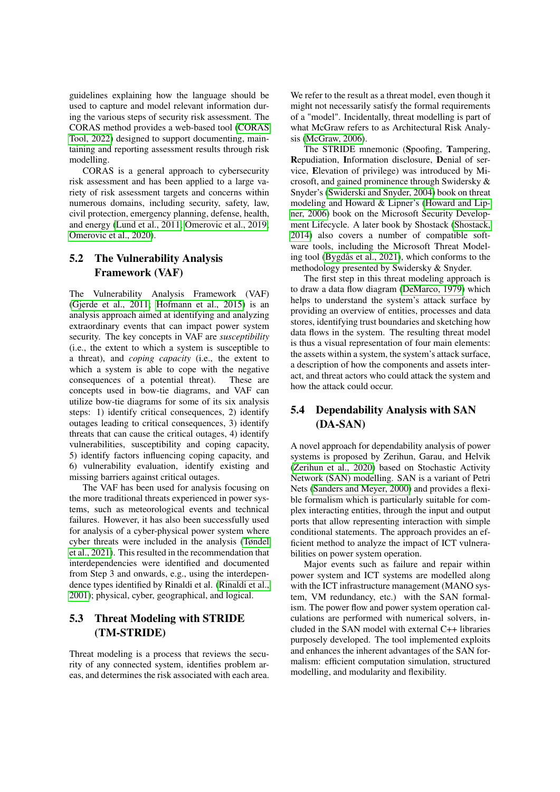guidelines explaining how the language should be used to capture and model relevant information during the various steps of security risk assessment. The CORAS method provides a web-based tool [\(CORAS](#page-10-9) [Tool, 2022\)](#page-10-9) designed to support documenting, maintaining and reporting assessment results through risk modelling.

CORAS is a general approach to cybersecurity risk assessment and has been applied to a large variety of risk assessment targets and concerns within numerous domains, including security, safety, law, civil protection, emergency planning, defense, health, and energy [\(Lund et al., 2011;](#page-11-19) [Omerovic et al., 2019;](#page-11-20) [Omerovic et al., 2020\)](#page-11-21).

### 5.2 The Vulnerability Analysis Framework (VAF)

The Vulnerability Analysis Framework (VAF) [\(Gjerde et al., 2011;](#page-10-10) [Hofmann et al., 2015\)](#page-11-12) is an analysis approach aimed at identifying and analyzing extraordinary events that can impact power system security. The key concepts in VAF are *susceptibility* (i.e., the extent to which a system is susceptible to a threat), and *coping capacity* (i.e., the extent to which a system is able to cope with the negative consequences of a potential threat). These are concepts used in bow-tie diagrams, and VAF can utilize bow-tie diagrams for some of its six analysis steps: 1) identify critical consequences, 2) identify outages leading to critical consequences, 3) identify threats that can cause the critical outages, 4) identify vulnerabilities, susceptibility and coping capacity, 5) identify factors influencing coping capacity, and 6) vulnerability evaluation, identify existing and missing barriers against critical outages.

The VAF has been used for analysis focusing on the more traditional threats experienced in power systems, such as meteorological events and technical failures. However, it has also been successfully used for analysis of a cyber-physical power system where cyber threats were included in the analysis [\(Tøndel](#page-11-22) [et al., 2021\)](#page-11-22). This resulted in the recommendation that interdependencies were identified and documented from Step 3 and onwards, e.g., using the interdependence types identified by Rinaldi et al. [\(Rinaldi et al.,](#page-11-23) [2001\)](#page-11-23); physical, cyber, geographical, and logical.

### 5.3 Threat Modeling with STRIDE (TM-STRIDE)

Threat modeling is a process that reviews the security of any connected system, identifies problem areas, and determines the risk associated with each area.

We refer to the result as a threat model, even though it might not necessarily satisfy the formal requirements of a "model". Incidentally, threat modelling is part of what McGraw refers to as Architectural Risk Analysis [\(McGraw, 2006\)](#page-11-24).

The STRIDE mnemonic (Spoofing, Tampering, Repudiation, Information disclosure, Denial of service, Elevation of privilege) was introduced by Microsoft, and gained prominence through Swidersky & Snyder's [\(Swiderski and Snyder, 2004\)](#page-11-25) book on threat modeling and Howard & Lipner's [\(Howard and Lip](#page-11-26)[ner, 2006\)](#page-11-26) book on the Microsoft Security Development Lifecycle. A later book by Shostack [\(Shostack,](#page-11-27) [2014\)](#page-11-27) also covers a number of compatible software tools, including the Microsoft Threat Modeling tool [\(Bygdås et al., 2021\)](#page-10-11), which conforms to the methodology presented by Swidersky & Snyder.

The first step in this threat modeling approach is to draw a data flow diagram [\(DeMarco, 1979\)](#page-10-12) which helps to understand the system's attack surface by providing an overview of entities, processes and data stores, identifying trust boundaries and sketching how data flows in the system. The resulting threat model is thus a visual representation of four main elements: the assets within a system, the system's attack surface, a description of how the components and assets interact, and threat actors who could attack the system and how the attack could occur.

#### 5.4 Dependability Analysis with SAN (DA-SAN)

A novel approach for dependability analysis of power systems is proposed by Zerihun, Garau, and Helvik [\(Zerihun et al., 2020\)](#page-11-28) based on Stochastic Activity Network (SAN) modelling. SAN is a variant of Petri Nets [\(Sanders and Meyer, 2000\)](#page-11-29) and provides a flexible formalism which is particularly suitable for complex interacting entities, through the input and output ports that allow representing interaction with simple conditional statements. The approach provides an efficient method to analyze the impact of ICT vulnerabilities on power system operation.

Major events such as failure and repair within power system and ICT systems are modelled along with the ICT infrastructure management (MANO system, VM redundancy, etc.) with the SAN formalism. The power flow and power system operation calculations are performed with numerical solvers, included in the SAN model with external C++ libraries purposely developed. The tool implemented exploits and enhances the inherent advantages of the SAN formalism: efficient computation simulation, structured modelling, and modularity and flexibility.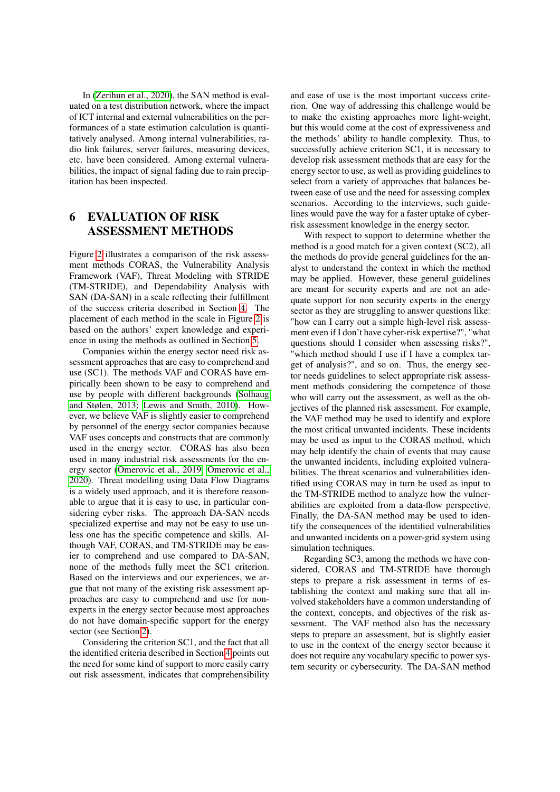In [\(Zerihun et al., 2020\)](#page-11-28), the SAN method is evaluated on a test distribution network, where the impact of ICT internal and external vulnerabilities on the performances of a state estimation calculation is quantitatively analysed. Among internal vulnerabilities, radio link failures, server failures, measuring devices, etc. have been considered. Among external vulnerabilities, the impact of signal fading due to rain precipitation has been inspected.

## <span id="page-7-0"></span>6 EVALUATION OF RISK ASSESSMENT METHODS

Figure [2](#page-8-0) illustrates a comparison of the risk assessment methods CORAS, the Vulnerability Analysis Framework (VAF), Threat Modeling with STRIDE (TM-STRIDE), and Dependability Analysis with SAN (DA-SAN) in a scale reflecting their fulfillment of the success criteria described in Section [4.](#page-3-0) The placement of each method in the scale in Figure [2](#page-8-0) is based on the authors' expert knowledge and experience in using the methods as outlined in Section [5.](#page-5-0)

Companies within the energy sector need risk assessment approaches that are easy to comprehend and use (SC1). The methods VAF and CORAS have empirically been shown to be easy to comprehend and use by people with different backgrounds [\(Solhaug](#page-11-30) [and Stølen, 2013;](#page-11-30) [Lewis and Smith, 2010\)](#page-11-31). However, we believe VAF is slightly easier to comprehend by personnel of the energy sector companies because VAF uses concepts and constructs that are commonly used in the energy sector. CORAS has also been used in many industrial risk assessments for the energy sector [\(Omerovic et al., 2019;](#page-11-20) [Omerovic et al.,](#page-11-21) [2020\)](#page-11-21). Threat modelling using Data Flow Diagrams is a widely used approach, and it is therefore reasonable to argue that it is easy to use, in particular considering cyber risks. The approach DA-SAN needs specialized expertise and may not be easy to use unless one has the specific competence and skills. Although VAF, CORAS, and TM-STRIDE may be easier to comprehend and use compared to DA-SAN, none of the methods fully meet the SC1 criterion. Based on the interviews and our experiences, we argue that not many of the existing risk assessment approaches are easy to comprehend and use for nonexperts in the energy sector because most approaches do not have domain-specific support for the energy sector (see Section [2\)](#page-1-0).

Considering the criterion SC1, and the fact that all the identified criteria described in Section [4](#page-3-0) points out the need for some kind of support to more easily carry out risk assessment, indicates that comprehensibility

and ease of use is the most important success criterion. One way of addressing this challenge would be to make the existing approaches more light-weight, but this would come at the cost of expressiveness and the methods' ability to handle complexity. Thus, to successfully achieve criterion SC1, it is necessary to develop risk assessment methods that are easy for the energy sector to use, as well as providing guidelines to select from a variety of approaches that balances between ease of use and the need for assessing complex scenarios. According to the interviews, such guidelines would pave the way for a faster uptake of cyberrisk assessment knowledge in the energy sector.

With respect to support to determine whether the method is a good match for a given context (SC2), all the methods do provide general guidelines for the analyst to understand the context in which the method may be applied. However, these general guidelines are meant for security experts and are not an adequate support for non security experts in the energy sector as they are struggling to answer questions like: "how can I carry out a simple high-level risk assessment even if I don't have cyber-risk expertise?", "what questions should I consider when assessing risks?", "which method should I use if I have a complex target of analysis?", and so on. Thus, the energy sector needs guidelines to select appropriate risk assessment methods considering the competence of those who will carry out the assessment, as well as the objectives of the planned risk assessment. For example, the VAF method may be used to identify and explore the most critical unwanted incidents. These incidents may be used as input to the CORAS method, which may help identify the chain of events that may cause the unwanted incidents, including exploited vulnerabilities. The threat scenarios and vulnerabilities identified using CORAS may in turn be used as input to the TM-STRIDE method to analyze how the vulnerabilities are exploited from a data-flow perspective. Finally, the DA-SAN method may be used to identify the consequences of the identified vulnerabilities and unwanted incidents on a power-grid system using simulation techniques.

Regarding SC3, among the methods we have considered, CORAS and TM-STRIDE have thorough steps to prepare a risk assessment in terms of establishing the context and making sure that all involved stakeholders have a common understanding of the context, concepts, and objectives of the risk assessment. The VAF method also has the necessary steps to prepare an assessment, but is slightly easier to use in the context of the energy sector because it does not require any vocabulary specific to power system security or cybersecurity. The DA-SAN method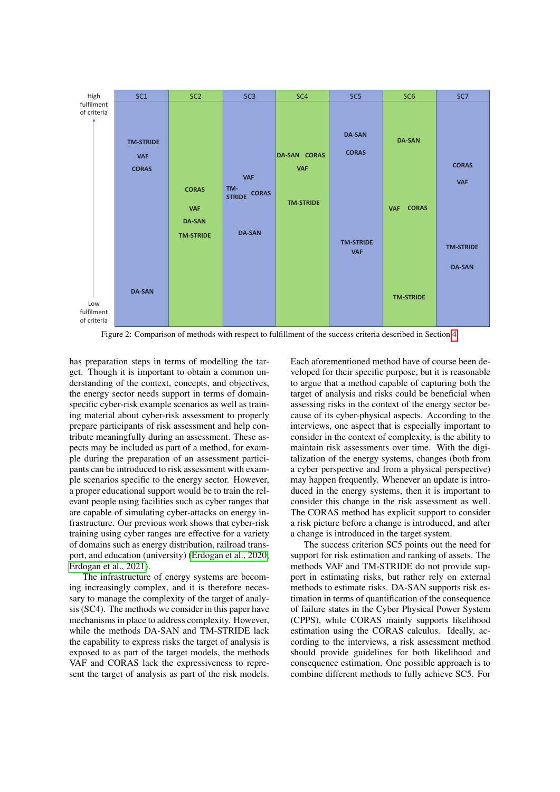<span id="page-8-0"></span>

Figure 2: Comparison of methods with respect to fulfillment of the success criteria described in Section [4.](#page-3-0)

has preparation steps in terms of modelling the target. Though it is important to obtain a common understanding of the context, concepts, and objectives, the energy sector needs support in terms of domainspecific cyber-risk example scenarios as well as training material about cyber-risk assessment to properly prepare participants of risk assessment and help contribute meaningfully during an assessment. These aspects may be included as part of a method, for example during the preparation of an assessment participants can be introduced to risk assessment with example scenarios specific to the energy sector. However, a proper educational support would be to train the relevant people using facilities such as cyber ranges that are capable of simulating cyber-attacks on energy infrastructure. Our previous work shows that cyber-risk training using cyber ranges are effective for a variety of domains such as energy distribution, railroad transport, and education (university) [\(Erdogan et al., 2020;](#page-10-13) [Erdogan et al., 2021\)](#page-10-14).

The infrastructure of energy systems are becoming increasingly complex, and it is therefore necessary to manage the complexity of the target of analysis (SC4). The methods we consider in this paper have mechanisms in place to address complexity. However, while the methods DA-SAN and TM-STRIDE lack the capability to express risks the target of analysis is exposed to as part of the target models, the methods VAF and CORAS lack the expressiveness to represent the target of analysis as part of the risk models.

Each aforementioned method have of course been developed for their specific purpose, but it is reasonable to argue that a method capable of capturing both the target of analysis and risks could be beneficial when assessing risks in the context of the energy sector because of its cyber-physical aspects. According to the interviews, one aspect that is especially important to consider in the context of complexity, is the ability to maintain risk assessments over time. With the digitalization of the energy systems, changes (both from a cyber perspective and from a physical perspective) may happen frequently. Whenever an update is introduced in the energy systems, then it is important to consider this change in the risk assessment as well. The CORAS method has explicit support to consider a risk picture before a change is introduced, and after a change is introduced in the target system.

The success criterion SC5 points out the need for support for risk estimation and ranking of assets. The methods VAF and TM-STRIDE do not provide support in estimating risks, but rather rely on external methods to estimate risks. DA-SAN supports risk estimation in terms of quantification of the consequence of failure states in the Cyber Physical Power System (CPPS), while CORAS mainly supports likelihood estimation using the CORAS calculus. Ideally, according to the interviews, a risk assessment method should provide guidelines for both likelihood and consequence estimation. One possible approach is to combine different methods to fully achieve SC5. For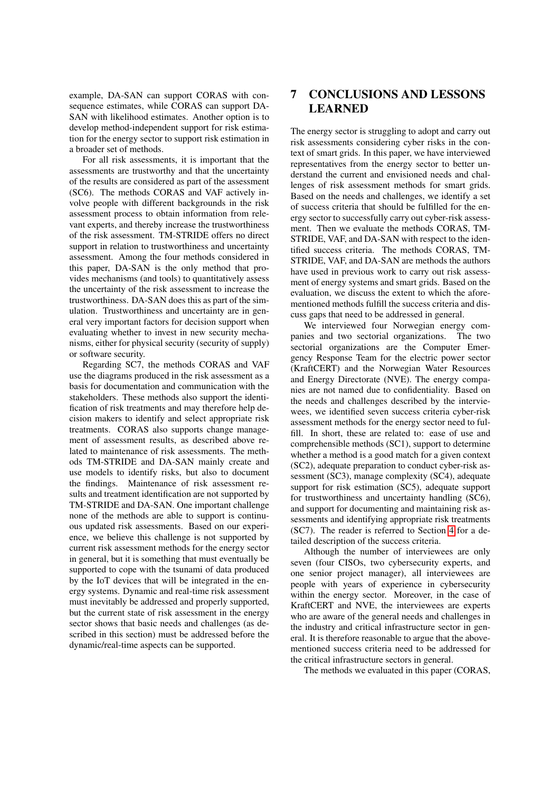example, DA-SAN can support CORAS with consequence estimates, while CORAS can support DA-SAN with likelihood estimates. Another option is to develop method-independent support for risk estimation for the energy sector to support risk estimation in a broader set of methods.

For all risk assessments, it is important that the assessments are trustworthy and that the uncertainty of the results are considered as part of the assessment (SC6). The methods CORAS and VAF actively involve people with different backgrounds in the risk assessment process to obtain information from relevant experts, and thereby increase the trustworthiness of the risk assessment. TM-STRIDE offers no direct support in relation to trustworthiness and uncertainty assessment. Among the four methods considered in this paper, DA-SAN is the only method that provides mechanisms (and tools) to quantitatively assess the uncertainty of the risk assessment to increase the trustworthiness. DA-SAN does this as part of the simulation. Trustworthiness and uncertainty are in general very important factors for decision support when evaluating whether to invest in new security mechanisms, either for physical security (security of supply) or software security.

Regarding SC7, the methods CORAS and VAF use the diagrams produced in the risk assessment as a basis for documentation and communication with the stakeholders. These methods also support the identification of risk treatments and may therefore help decision makers to identify and select appropriate risk treatments. CORAS also supports change management of assessment results, as described above related to maintenance of risk assessments. The methods TM-STRIDE and DA-SAN mainly create and use models to identify risks, but also to document the findings. Maintenance of risk assessment results and treatment identification are not supported by TM-STRIDE and DA-SAN. One important challenge none of the methods are able to support is continuous updated risk assessments. Based on our experience, we believe this challenge is not supported by current risk assessment methods for the energy sector in general, but it is something that must eventually be supported to cope with the tsunami of data produced by the IoT devices that will be integrated in the energy systems. Dynamic and real-time risk assessment must inevitably be addressed and properly supported, but the current state of risk assessment in the energy sector shows that basic needs and challenges (as described in this section) must be addressed before the dynamic/real-time aspects can be supported.

# <span id="page-9-0"></span>7 CONCLUSIONS AND LESSONS LEARNED

The energy sector is struggling to adopt and carry out risk assessments considering cyber risks in the context of smart grids. In this paper, we have interviewed representatives from the energy sector to better understand the current and envisioned needs and challenges of risk assessment methods for smart grids. Based on the needs and challenges, we identify a set of success criteria that should be fulfilled for the energy sector to successfully carry out cyber-risk assessment. Then we evaluate the methods CORAS, TM-STRIDE, VAF, and DA-SAN with respect to the identified success criteria. The methods CORAS, TM-STRIDE, VAF, and DA-SAN are methods the authors have used in previous work to carry out risk assessment of energy systems and smart grids. Based on the evaluation, we discuss the extent to which the aforementioned methods fulfill the success criteria and discuss gaps that need to be addressed in general.

We interviewed four Norwegian energy companies and two sectorial organizations. The two sectorial organizations are the Computer Emergency Response Team for the electric power sector (KraftCERT) and the Norwegian Water Resources and Energy Directorate (NVE). The energy companies are not named due to confidentiality. Based on the needs and challenges described by the interviewees, we identified seven success criteria cyber-risk assessment methods for the energy sector need to fulfill. In short, these are related to: ease of use and comprehensible methods (SC1), support to determine whether a method is a good match for a given context (SC2), adequate preparation to conduct cyber-risk assessment (SC3), manage complexity (SC4), adequate support for risk estimation (SC5), adequate support for trustworthiness and uncertainty handling (SC6), and support for documenting and maintaining risk assessments and identifying appropriate risk treatments (SC7). The reader is referred to Section [4](#page-3-0) for a detailed description of the success criteria.

Although the number of interviewees are only seven (four CISOs, two cybersecurity experts, and one senior project manager), all interviewees are people with years of experience in cybersecurity within the energy sector. Moreover, in the case of KraftCERT and NVE, the interviewees are experts who are aware of the general needs and challenges in the industry and critical infrastructure sector in general. It is therefore reasonable to argue that the abovementioned success criteria need to be addressed for the critical infrastructure sectors in general.

The methods we evaluated in this paper (CORAS,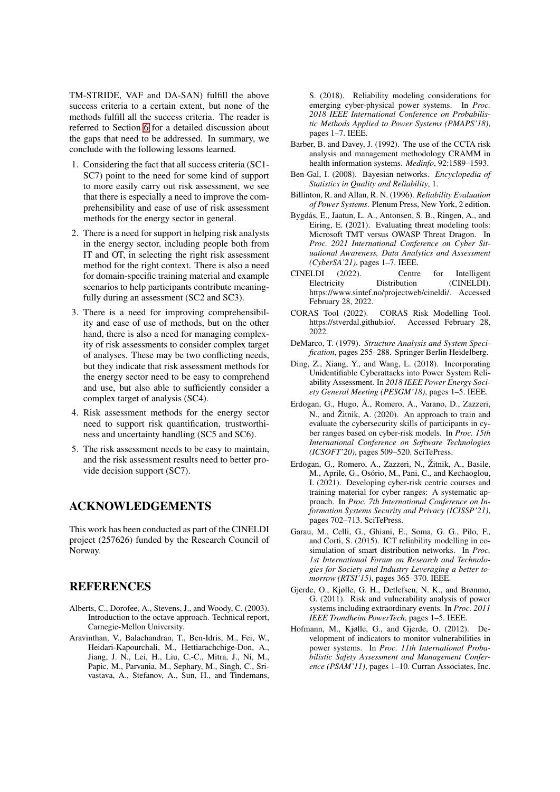TM-STRIDE, VAF and DA-SAN) fulfill the above success criteria to a certain extent, but none of the methods fulfill all the success criteria. The reader is referred to Section [6](#page-7-0) for a detailed discussion about the gaps that need to be addressed. In summary, we conclude with the following lessons learned.

- 1. Considering the fact that all success criteria (SC1- SC7) point to the need for some kind of support to more easily carry out risk assessment, we see that there is especially a need to improve the comprehensibility and ease of use of risk assessment methods for the energy sector in general.
- 2. There is a need for support in helping risk analysts in the energy sector, including people both from IT and OT, in selecting the right risk assessment method for the right context. There is also a need for domain-specific training material and example scenarios to help participants contribute meaningfully during an assessment (SC2 and SC3).
- 3. There is a need for improving comprehensibility and ease of use of methods, but on the other hand, there is also a need for managing complexity of risk assessments to consider complex target of analyses. These may be two conflicting needs, but they indicate that risk assessment methods for the energy sector need to be easy to comprehend and use, but also able to sufficiently consider a complex target of analysis (SC4).
- 4. Risk assessment methods for the energy sector need to support risk quantification, trustworthiness and uncertainty handling (SC5 and SC6).
- 5. The risk assessment needs to be easy to maintain, and the risk assessment results need to better provide decision support (SC7).

#### ACKNOWLEDGEMENTS

This work has been conducted as part of the CINELDI project (257626) funded by the Research Council of Norway.

#### **REFERENCES**

- <span id="page-10-2"></span>Alberts, C., Dorofee, A., Stevens, J., and Woody, C. (2003). Introduction to the octave approach. Technical report, Carnegie-Mellon University.
- <span id="page-10-4"></span>Aravinthan, V., Balachandran, T., Ben-Idris, M., Fei, W., Heidari-Kapourchali, M., Hettiarachchige-Don, A., Jiang, J. N., Lei, H., Liu, C.-C., Mitra, J., Ni, M., Papic, M., Parvania, M., Sephary, M., Singh, C., Srivastava, A., Stefanov, A., Sun, H., and Tindemans,

S. (2018). Reliability modeling considerations for emerging cyber-physical power systems. In *Proc. 2018 IEEE International Conference on Probabilistic Methods Applied to Power Systems (PMAPS'18)*, pages 1–7. IEEE.

- <span id="page-10-1"></span>Barber, B. and Davey, J. (1992). The use of the CCTA risk analysis and management methodology CRAMM in health information systems. *Medinfo*, 92:1589–1593.
- <span id="page-10-0"></span>Ben-Gal, I. (2008). Bayesian networks. *Encyclopedia of Statistics in Quality and Reliability*, 1.
- <span id="page-10-5"></span>Billinton, R. and Allan, R. N. (1996). *Reliability Evaluation of Power Systems*. Plenum Press, New York, 2 edition.
- <span id="page-10-11"></span>Bygdås, E., Jaatun, L. A., Antonsen, S. B., Ringen, A., and Eiring, E. (2021). Evaluating threat modeling tools: Microsoft TMT versus OWASP Threat Dragon. In *Proc. 2021 International Conference on Cyber Situational Awareness, Data Analytics and Assessment (CyberSA'21)*, pages 1–7. IEEE.
- <span id="page-10-8"></span>CINELDI (2022). Centre for Intelligent Distribution https://www.sintef.no/projectweb/cineldi/. Accessed February 28, 2022.
- <span id="page-10-9"></span>CORAS Tool (2022). CORAS Risk Modelling Tool. https://stverdal.github.io/. Accessed February 28, 2022.
- <span id="page-10-12"></span>DeMarco, T. (1979). *Structure Analysis and System Specification*, pages 255–288. Springer Berlin Heidelberg.
- <span id="page-10-7"></span>Ding, Z., Xiang, Y., and Wang, L. (2018). Incorporating Unidentifiable Cyberattacks into Power System Reliability Assessment. In *2018 IEEE Power Energy Society General Meeting (PESGM'18)*, pages 1–5. IEEE.
- <span id="page-10-13"></span>Erdogan, G., Hugo, Å., Romero, A., Varano, D., Zazzeri, N., and Žitnik, A. (2020). An approach to train and evaluate the cybersecurity skills of participants in cyber ranges based on cyber-risk models. In *Proc. 15th International Conference on Software Technologies (ICSOFT'20)*, pages 509–520. SciTePress.
- <span id="page-10-14"></span>Erdogan, G., Romero, A., Zazzeri, N., Žitnik, A., Basile, M., Aprile, G., Osório, M., Pani, C., and Kechaoglou, I. (2021). Developing cyber-risk centric courses and training material for cyber ranges: A systematic approach. In *Proc. 7th International Conference on Information Systems Security and Privacy (ICISSP'21)*, pages 702–713. SciTePress.
- <span id="page-10-6"></span>Garau, M., Celli, G., Ghiani, E., Soma, G. G., Pilo, F., and Corti, S. (2015). ICT reliability modelling in cosimulation of smart distribution networks. In *Proc. 1st International Forum on Research and Technologies for Society and Industry Leveraging a better tomorrow (RTSI'15)*, pages 365–370. IEEE.
- <span id="page-10-10"></span>Gjerde, O., Kjølle, G. H., Detlefsen, N. K., and Brønmo, G. (2011). Risk and vulnerability analysis of power systems including extraordinary events. In *Proc. 2011 IEEE Trondheim PowerTech*, pages 1–5. IEEE.
- <span id="page-10-3"></span>Hofmann, M., Kjølle, G., and Gjerde, O. (2012). Development of indicators to monitor vulnerabilities in power systems. In *Proc. 11th International Probabilistic Safety Assessment and Management Conference (PSAM'11)*, pages 1–10. Curran Associates, Inc.